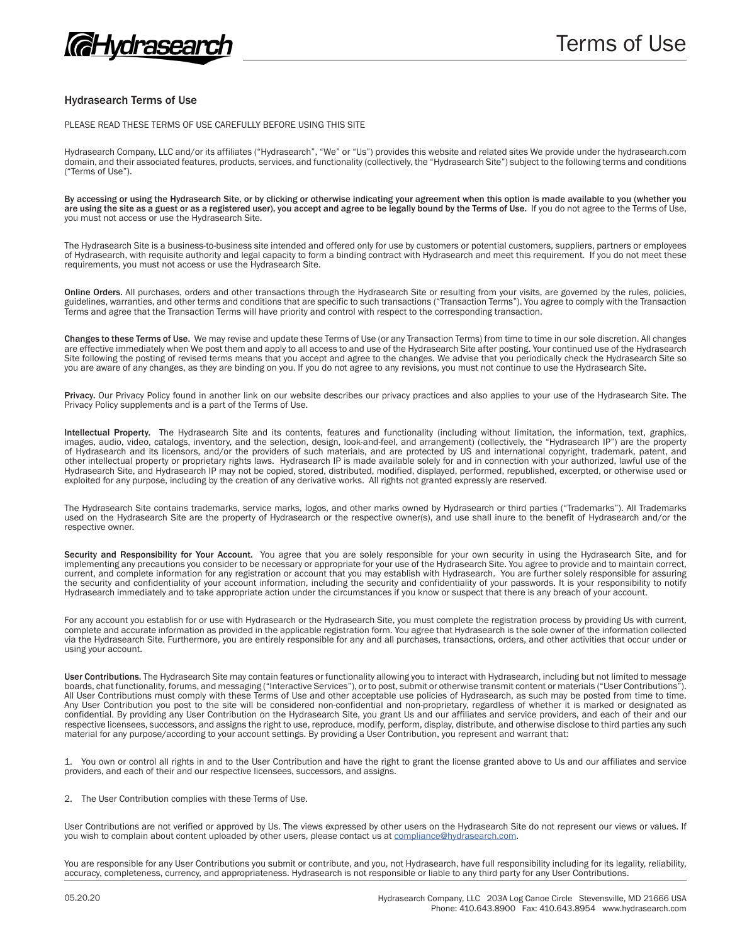

## Hydrasearch Terms of Use

PLEASE READ THESE TERMS OF USE CAREFULLY BEFORE USING THIS SITE

Hydrasearch Company, LLC and/or its affiliates ("Hydrasearch", "We" or "Us") provides this website and related sites We provide under the hydrasearch.com domain, and their associated features, products, services, and functionality (collectively, the "Hydrasearch Site") subject to the following terms and conditions ("Terms of Use").

By accessing or using the Hydrasearch Site, or by clicking or otherwise indicating your agreement when this option is made available to you (whether you are using the site as a guest or as a registered user), you accept and agree to be legally bound by the Terms of Use. If you do not agree to the Terms of Use, you must not access or use the Hydrasearch Site.

The Hydrasearch Site is a business-to-business site intended and offered only for use by customers or potential customers, suppliers, partners or employees of Hydrasearch, with requisite authority and legal capacity to form a binding contract with Hydrasearch and meet this requirement. If you do not meet these requirements, you must not access or use the Hydrasearch Site.

Online Orders. All purchases, orders and other transactions through the Hydrasearch Site or resulting from your visits, are governed by the rules, policies, guidelines, warranties, and other terms and conditions that are specific to such transactions ("Transaction Terms"). You agree to comply with the Transaction Terms and agree that the Transaction Terms will have priority and control with respect to the corresponding transaction.

Changes to these Terms of Use. We may revise and update these Terms of Use (or any Transaction Terms) from time to time in our sole discretion. All changes are effective immediately when We post them and apply to all access to and use of the Hydrasearch Site after posting. Your continued use of the Hydrasearch Site following the posting of revised terms means that you accept and agree to the changes. We advise that you periodically check the Hydrasearch Site so you are aware of any changes, as they are binding on you. If you do not agree to any revisions, you must not continue to use the Hydrasearch Site.

Privacy. Our Privacy Policy found in another link on our website describes our privacy practices and also applies to your use of the Hydrasearch Site. The Privacy Policy supplements and is a part of the Terms of Use.

Intellectual Property. The Hydrasearch Site and its contents, features and functionality (including without limitation, the information, text, graphics, images, audio, video, catalogs, inventory, and the selection, design, look-and-feel, and arrangement) (collectively, the "Hydrasearch IP") are the property of Hydrasearch and its licensors, and/or the providers of such materials, and are protected by US and international copyright, trademark, patent, and other intellectual property or proprietary rights laws. Hydrasearch IP is made available solely for and in connection with your authorized, lawful use of the Hydrasearch Site, and Hydrasearch IP may not be copied, stored, distributed, modified, displayed, performed, republished, excerpted, or otherwise used or exploited for any purpose, including by the creation of any derivative works. All rights not granted expressly are reserved.

The Hydrasearch Site contains trademarks, service marks, logos, and other marks owned by Hydrasearch or third parties ("Trademarks"). All Trademarks used on the Hydrasearch Site are the property of Hydrasearch or the respective owner(s), and use shall inure to the benefit of Hydrasearch and/or the respective owner.

Security and Responsibility for Your Account. You agree that you are solely responsible for your own security in using the Hydrasearch Site, and for implementing any precautions you consider to be necessary or appropriate for your use of the Hydrasearch Site. You agree to provide and to maintain correct, current, and complete information for any registration or account that you may establish with Hydrasearch. You are further solely responsible for assuring the security and confidentiality of your account information, including the security and confidentiality of your passwords. It is your responsibility to notify Hydrasearch immediately and to take appropriate action under the circumstances if you know or suspect that there is any breach of your account.

For any account you establish for or use with Hydrasearch or the Hydrasearch Site, you must complete the registration process by providing Us with current, complete and accurate information as provided in the applicable registration form. You agree that Hydrasearch is the sole owner of the information collected via the Hydrasearch Site. Furthermore, you are entirely responsible for any and all purchases, transactions, orders, and other activities that occur under or using your account.

User Contributions. The Hydrasearch Site may contain features or functionality allowing you to interact with Hydrasearch, including but not limited to message boards, chat functionality, forums, and messaging ("Interactive Services"), or to post, submit or otherwise transmit content or materials ("User Contributions"). All User Contributions must comply with these Terms of Use and other acceptable use policies of Hydrasearch, as such may be posted from time to time. Any User Contribution you post to the site will be considered non-confidential and non-proprietary, regardless of whether it is marked or designated as confidential. By providing any User Contribution on the Hydrasearch Site, you grant Us and our affiliates and service providers, and each of their and our respective licensees, successors, and assigns the right to use, reproduce, modify, perform, display, distribute, and otherwise disclose to third parties any such material for any purpose/according to your account settings. By providing a User Contribution, you represent and warrant that:

1. You own or control all rights in and to the User Contribution and have the right to grant the license granted above to Us and our affiliates and service providers, and each of their and our respective licensees, successors, and assigns.

2. The User Contribution complies with these Terms of Use.

User Contributions are not verified or approved by Us. The views expressed by other users on the Hydrasearch Site do not represent our views or values. If you wish to complain about content uploaded by other users, please contact us at compliance@hydrasearch.com.

You are responsible for any User Contributions you submit or contribute, and you, not Hydrasearch, have full responsibility including for its legality, reliability, accuracy, completeness, currency, and appropriateness. Hydrasearch is not responsible or liable to any third party for any User Contributions.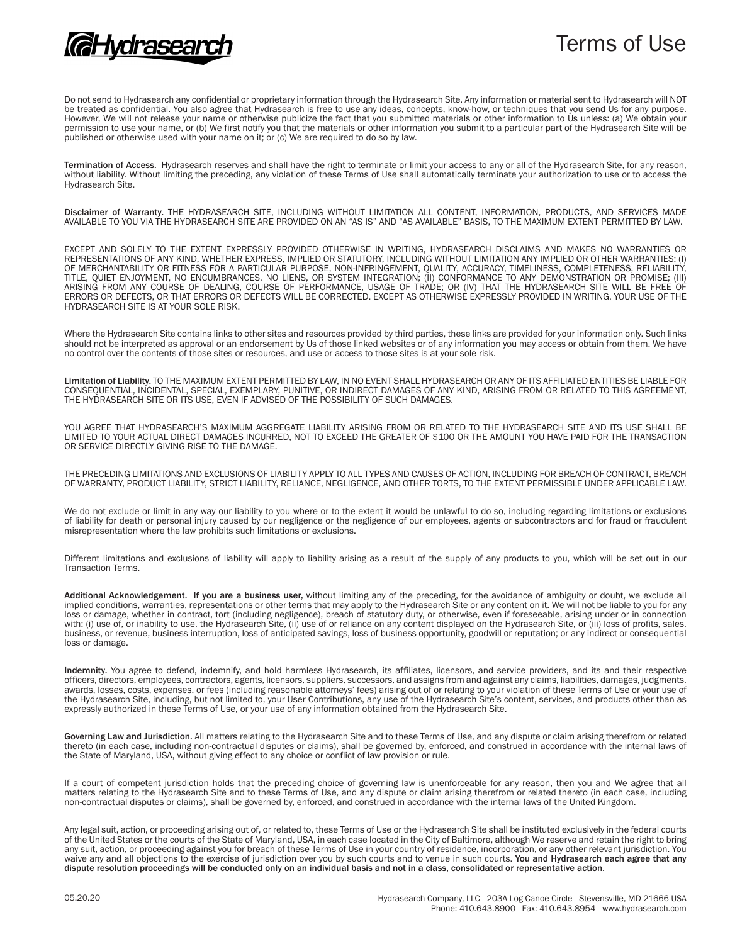Do not send to Hydrasearch any confidential or proprietary information through the Hydrasearch Site. Any information or material sent to Hydrasearch will NOT be treated as confidential. You also agree that Hydrasearch is free to use any ideas, concepts, know-how, or techniques that you send Us for any purpose. However, We will not release your name or otherwise publicize the fact that you submitted materials or other information to Us unless: (a) We obtain your permission to use your name, or (b) We first notify you that the materials or other information you submit to a particular part of the Hydrasearch Site will be published or otherwise used with your name on it; or (c) We are required to do so by law.

Termination of Access. Hydrasearch reserves and shall have the right to terminate or limit your access to any or all of the Hydrasearch Site, for any reason, without liability. Without limiting the preceding, any violation of these Terms of Use shall automatically terminate your authorization to use or to access the Hydrasearch Site.

Disclaimer of Warranty. THE HYDRASEARCH SITE, INCLUDING WITHOUT LIMITATION ALL CONTENT, INFORMATION, PRODUCTS, AND SERVICES MADE AVAILABLE TO YOU VIA THE HYDRASEARCH SITE ARE PROVIDED ON AN "AS IS" AND "AS AVAILABLE" BASIS, TO THE MAXIMUM EXTENT PERMITTED BY LAW.

EXCEPT AND SOLELY TO THE EXTENT EXPRESSLY PROVIDED OTHERWISE IN WRITING, HYDRASEARCH DISCLAIMS AND MAKES NO WARRANTIES OR<br>REPRESENTATIONS OF ANY KIND. WHETHER EXPRESS. IMPLIED OR STATUTORY. INCLUDING WITHOUT LIMITATION ANY REPRESENTATIONS OF ANY KIND, WHETHER EXPRESS, IMPLIED OR STATUTORY, INCLUDING WITHOUT LIMITATION ANY IMPLIED OR OTHER WARRANTIES: (I) OF MERCHANTABILITY OR FITNESS FOR A PARTICULAR PURPOSE, NON-INFRINGEMENT, QUALITY, ACCURACY, TIMELINESS, COMPLETENESS, RELIABILITY, TITLE, QUIET ENJOYMENT, NO ENCUMBRANCES, NO LIENS, OR SYSTEM INTEGRATION; (II) CONFORMANCE TO ANY DEMONSTRATION OR PROMISE; (III) ARISING FROM ANY COURSE OF DEALING, COURSE OF PERFORMANCE, USAGE OF TRADE; OR (IV) THAT THE HYDRASEARCH SITE WILL BE FREE OF ERRORS OR DEFECTS, OR THAT ERRORS OR DEFECTS WILL BE CORRECTED. EXCEPT AS OTHERWISE EXPRESSLY PROVIDED IN WRITING, YOUR USE OF THE HYDRASEARCH SITE IS AT YOUR SOLE RISK.

Where the Hydrasearch Site contains links to other sites and resources provided by third parties, these links are provided for your information only. Such links should not be interpreted as approval or an endorsement by Us of those linked websites or of any information you may access or obtain from them. We have no control over the contents of those sites or resources, and use or access to those sites is at your sole risk.

Limitation of Liability. TO THE MAXIMUM EXTENT PERMITTED BY LAW, IN NO EVENT SHALL HYDRASEARCH OR ANY OF ITS AFFILIATED ENTITIES BE LIABLE FOR CONSEQUENTIAL, INCIDENTAL, SPECIAL, EXEMPLARY, PUNITIVE, OR INDIRECT DAMAGES OF ANY KIND, ARISING FROM OR RELATED TO THIS AGREEMENT, THE HYDRASEARCH SITE OR ITS USE, EVEN IF ADVISED OF THE POSSIBILITY OF SUCH DAMAGES.

YOU AGREE THAT HYDRASEARCH'S MAXIMUM AGGREGATE LIABILITY ARISING FROM OR RELATED TO THE HYDRASEARCH SITE AND ITS USE SHALL BE LIMITED TO YOUR ACTUAL DIRECT DAMAGES INCURRED, NOT TO EXCEED THE GREATER OF \$100 OR THE AMOUNT YOU HAVE PAID FOR THE TRANSACTION OR SERVICE DIRECTLY GIVING RISE TO THE DAMAGE.

THE PRECEDING LIMITATIONS AND EXCLUSIONS OF LIABILITY APPLY TO ALL TYPES AND CAUSES OF ACTION, INCLUDING FOR BREACH OF CONTRACT, BREACH OF WARRANTY, PRODUCT LIABILITY, STRICT LIABILITY, RELIANCE, NEGLIGENCE, AND OTHER TORTS, TO THE EXTENT PERMISSIBLE UNDER APPLICABLE LAW.

We do not exclude or limit in any way our liability to you where or to the extent it would be unlawful to do so, including regarding limitations or exclusions of liability for death or personal injury caused by our negligence or the negligence of our employees, agents or subcontractors and for fraud or fraudulent misrepresentation where the law prohibits such limitations or exclusions.

Different limitations and exclusions of liability will apply to liability arising as a result of the supply of any products to you, which will be set out in our Transaction Terms.

Additional Acknowledgement. If you are a business user, without limiting any of the preceding, for the avoidance of ambiguity or doubt, we exclude all implied conditions, warranties, representations or other terms that may apply to the Hydrasearch Site or any content on it. We will not be liable to you for any loss or damage, whether in contract, tort (including negligence), breach of statutory duty, or otherwise, even if foreseeable, arising under or in connection with: (i) use of, or inability to use, the Hydrasearch Site, (ii) use of or reliance on any content displayed on the Hydrasearch Site, or (iii) loss of profits, sales, business, or revenue, business interruption, loss of anticipated savings, loss of business opportunity, goodwill or reputation; or any indirect or consequential loss or damage.

Indemnity. You agree to defend, indemnify, and hold harmless Hydrasearch, its affiliates, licensors, and service providers, and its and their respective officers, directors, employees, contractors, agents, licensors, suppliers, successors, and assigns from and against any claims, liabilities, damages, judgments, awards, losses, costs, expenses, or fees (including reasonable attorneys' fees) arising out of or relating to your violation of these Terms of Use or your use of the Hydrasearch Site, including, but not limited to, your User Contributions, any use of the Hydrasearch Site's content, services, and products other than as expressly authorized in these Terms of Use, or your use of any information obtained from the Hydrasearch Site.

Governing Law and Jurisdiction. All matters relating to the Hydrasearch Site and to these Terms of Use, and any dispute or claim arising therefrom or related thereto (in each case, including non-contractual disputes or claims), shall be governed by, enforced, and construed in accordance with the internal laws of the State of Maryland, USA, without giving effect to any choice or conflict of law provision or rule.

If a court of competent jurisdiction holds that the preceding choice of governing law is unenforceable for any reason, then you and We agree that all matters relating to the Hydrasearch Site and to these Terms of Use, and any dispute or claim arising therefrom or related thereto (in each case, including non-contractual disputes or claims), shall be governed by, enforced, and construed in accordance with the internal laws of the United Kingdom.

Any legal suit, action, or proceeding arising out of, or related to, these Terms of Use or the Hydrasearch Site shall be instituted exclusively in the federal courts of the United States or the courts of the State of Maryland, USA, in each case located in the City of Baltimore, although We reserve and retain the right to bring any suit, action, or proceeding against you for breach of these Terms of Use in your country of residence, incorporation, or any other relevant jurisdiction. You waive any and all objections to the exercise of jurisdiction over you by such courts and to venue in such courts. You and Hydrasearch each agree that any dispute resolution proceedings will be conducted only on an individual basis and not in a class, consolidated or representative action.